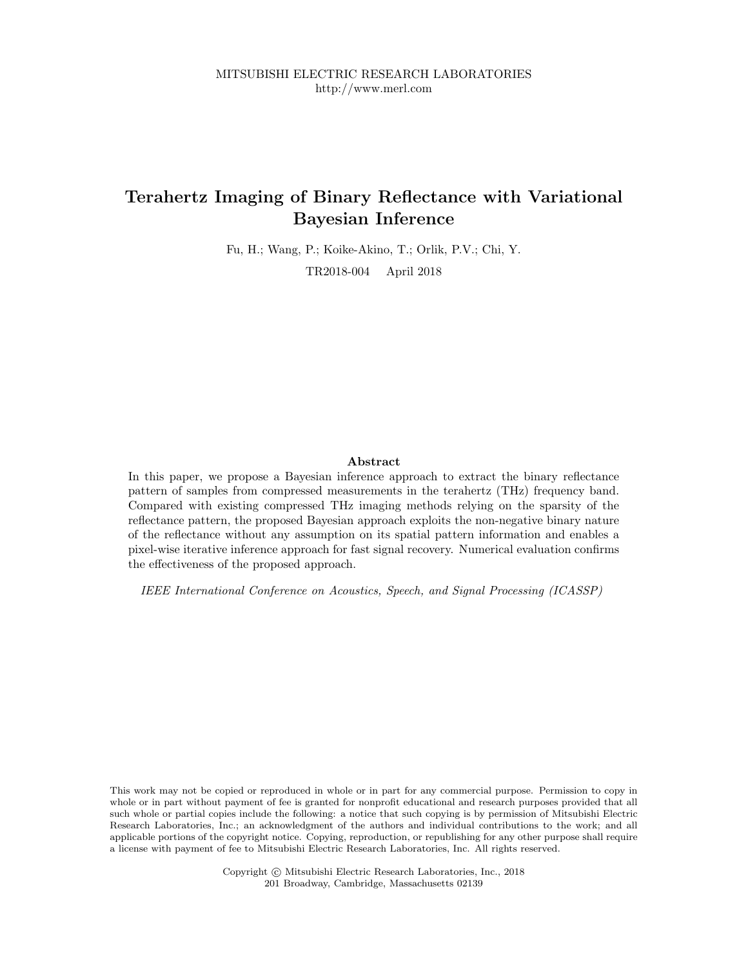# Terahertz Imaging of Binary Reflectance with Variational Bayesian Inference

Fu, H.; Wang, P.; Koike-Akino, T.; Orlik, P.V.; Chi, Y.

TR2018-004 April 2018

# Abstract

In this paper, we propose a Bayesian inference approach to extract the binary reflectance pattern of samples from compressed measurements in the terahertz (THz) frequency band. Compared with existing compressed THz imaging methods relying on the sparsity of the reflectance pattern, the proposed Bayesian approach exploits the non-negative binary nature of the reflectance without any assumption on its spatial pattern information and enables a pixel-wise iterative inference approach for fast signal recovery. Numerical evaluation confirms the effectiveness of the proposed approach.

IEEE International Conference on Acoustics, Speech, and Signal Processing (ICASSP)

This work may not be copied or reproduced in whole or in part for any commercial purpose. Permission to copy in whole or in part without payment of fee is granted for nonprofit educational and research purposes provided that all such whole or partial copies include the following: a notice that such copying is by permission of Mitsubishi Electric Research Laboratories, Inc.; an acknowledgment of the authors and individual contributions to the work; and all applicable portions of the copyright notice. Copying, reproduction, or republishing for any other purpose shall require a license with payment of fee to Mitsubishi Electric Research Laboratories, Inc. All rights reserved.

> Copyright © Mitsubishi Electric Research Laboratories, Inc., 2018 201 Broadway, Cambridge, Massachusetts 02139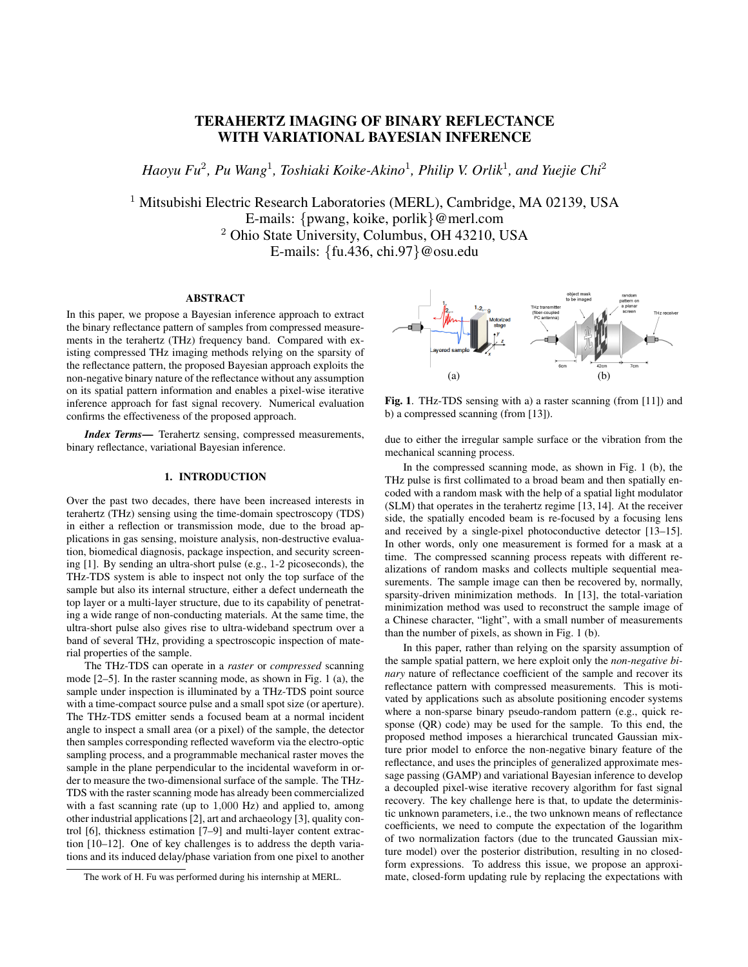# TERAHERTZ IMAGING OF BINARY REFLECTANCE WITH VARIATIONAL BAYESIAN INFERENCE

 $H$ aoyu Fu<sup>2</sup>, Pu Wang<sup>1</sup>, Toshiaki Koike-Akino<sup>1</sup>, Philip V. Orlik<sup>1</sup>, and Yuejie Chi<sup>2</sup>

<sup>1</sup> Mitsubishi Electric Research Laboratories (MERL), Cambridge, MA 02139, USA E-mails: {pwang, koike, porlik}@merl.com <sup>2</sup> Ohio State University, Columbus, OH 43210, USA E-mails: {fu.436, chi.97}@osu.edu

## ABSTRACT

In this paper, we propose a Bayesian inference approach to extract the binary reflectance pattern of samples from compressed measurements in the terahertz (THz) frequency band. Compared with existing compressed THz imaging methods relying on the sparsity of the reflectance pattern, the proposed Bayesian approach exploits the non-negative binary nature of the reflectance without any assumption on its spatial pattern information and enables a pixel-wise iterative inference approach for fast signal recovery. Numerical evaluation confirms the effectiveness of the proposed approach.

*Index Terms*— Terahertz sensing, compressed measurements, binary reflectance, variational Bayesian inference.

#### 1. INTRODUCTION

Over the past two decades, there have been increased interests in terahertz (THz) sensing using the time-domain spectroscopy (TDS) in either a reflection or transmission mode, due to the broad applications in gas sensing, moisture analysis, non-destructive evaluation, biomedical diagnosis, package inspection, and security screening [1]. By sending an ultra-short pulse (e.g., 1-2 picoseconds), the THz-TDS system is able to inspect not only the top surface of the sample but also its internal structure, either a defect underneath the top layer or a multi-layer structure, due to its capability of penetrating a wide range of non-conducting materials. At the same time, the ultra-short pulse also gives rise to ultra-wideband spectrum over a band of several THz, providing a spectroscopic inspection of material properties of the sample.

The THz-TDS can operate in a *raster* or *compressed* scanning mode [2–5]. In the raster scanning mode, as shown in Fig. 1 (a), the sample under inspection is illuminated by a THz-TDS point source with a time-compact source pulse and a small spot size (or aperture). The THz-TDS emitter sends a focused beam at a normal incident angle to inspect a small area (or a pixel) of the sample, the detector then samples corresponding reflected waveform via the electro-optic sampling process, and a programmable mechanical raster moves the sample in the plane perpendicular to the incidental waveform in order to measure the two-dimensional surface of the sample. The THz-TDS with the raster scanning mode has already been commercialized with a fast scanning rate (up to 1,000 Hz) and applied to, among other industrial applications [2], art and archaeology [3], quality control [6], thickness estimation [7–9] and multi-layer content extraction [10–12]. One of key challenges is to address the depth variations and its induced delay/phase variation from one pixel to another



Fig. 1. THz-TDS sensing with a) a raster scanning (from [11]) and b) a compressed scanning (from [13]).

due to either the irregular sample surface or the vibration from the mechanical scanning process.

In the compressed scanning mode, as shown in Fig. 1 (b), the THz pulse is first collimated to a broad beam and then spatially encoded with a random mask with the help of a spatial light modulator (SLM) that operates in the terahertz regime [13, 14]. At the receiver side, the spatially encoded beam is re-focused by a focusing lens and received by a single-pixel photoconductive detector [13–15]. In other words, only one measurement is formed for a mask at a time. The compressed scanning process repeats with different realizations of random masks and collects multiple sequential measurements. The sample image can then be recovered by, normally, sparsity-driven minimization methods. In [13], the total-variation minimization method was used to reconstruct the sample image of a Chinese character, "light", with a small number of measurements than the number of pixels, as shown in Fig. 1 (b).

In this paper, rather than relying on the sparsity assumption of the sample spatial pattern, we here exploit only the *non-negative binary* nature of reflectance coefficient of the sample and recover its reflectance pattern with compressed measurements. This is motivated by applications such as absolute positioning encoder systems where a non-sparse binary pseudo-random pattern (e.g., quick response (QR) code) may be used for the sample. To this end, the proposed method imposes a hierarchical truncated Gaussian mixture prior model to enforce the non-negative binary feature of the reflectance, and uses the principles of generalized approximate message passing (GAMP) and variational Bayesian inference to develop a decoupled pixel-wise iterative recovery algorithm for fast signal recovery. The key challenge here is that, to update the deterministic unknown parameters, i.e., the two unknown means of reflectance coefficients, we need to compute the expectation of the logarithm of two normalization factors (due to the truncated Gaussian mixture model) over the posterior distribution, resulting in no closedform expressions. To address this issue, we propose an approximate, closed-form updating rule by replacing the expectations with

The work of H. Fu was performed during his internship at MERL.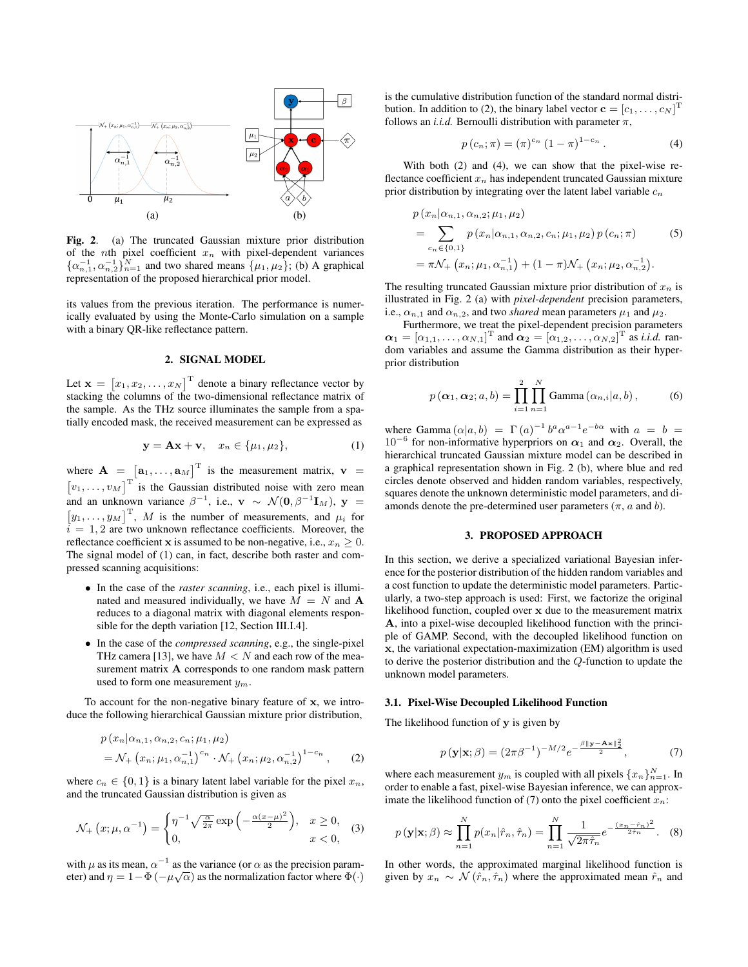

Fig. 2. (a) The truncated Gaussian mixture prior distribution of the nth pixel coefficient  $x_n$  with pixel-dependent variances  $\{\alpha_{n,1}^{-1}, \alpha_{n,2}^{-1}\}_{n=1}^N$  and two shared means  $\{\mu_1, \mu_2\}$ ; (b) A graphical representation of the proposed hierarchical prior model.

its values from the previous iteration. The performance is numerically evaluated by using the Monte-Carlo simulation on a sample with a binary QR-like reflectance pattern.

# 2. SIGNAL MODEL

Let  $\mathbf{x} = [x_1, x_2, \dots, x_N]^T$  denote a binary reflectance vector by stacking the columns of the two-dimensional reflectance matrix of the sample. As the THz source illuminates the sample from a spatially encoded mask, the received measurement can be expressed as

$$
\mathbf{y} = \mathbf{A}\mathbf{x} + \mathbf{v}, \quad x_n \in \{\mu_1, \mu_2\},\tag{1}
$$

where  $\mathbf{A} = [\mathbf{a}_1, \dots, \mathbf{a}_M]^T$  is the measurement matrix,  $\mathbf{v} =$  $[v_1, \ldots, v_M]^{\text{T}}$  is the Gaussian distributed noise with zero mean and an unknown variance  $\beta^{-1}$ , i.e.,  $\mathbf{v} \sim \mathcal{N}(\mathbf{0}, \beta^{-1} \mathbf{I}_M)$ ,  $\mathbf{y} =$  $[y_1, \ldots, y_M]^{\mathrm{T}}$ , M is the number of measurements, and  $\mu_i$  for  $i = 1, 2$  are two unknown reflectance coefficients. Moreover, the reflectance coefficient x is assumed to be non-negative, i.e.,  $x_n \geq 0$ . The signal model of (1) can, in fact, describe both raster and compressed scanning acquisitions:

- In the case of the *raster scanning*, i.e., each pixel is illuminated and measured individually, we have  $M = N$  and A reduces to a diagonal matrix with diagonal elements responsible for the depth variation [12, Section III.I.4].
- In the case of the *compressed scanning*, e.g., the single-pixel THz camera [13], we have  $M < N$  and each row of the measurement matrix A corresponds to one random mask pattern used to form one measurement  $y_m$ .

To account for the non-negative binary feature of x, we introduce the following hierarchical Gaussian mixture prior distribution,

$$
p(x_n|\alpha_{n,1}, \alpha_{n,2}, c_n; \mu_1, \mu_2)
$$
  
=  $\mathcal{N}_+(x_n; \mu_1, \alpha_{n,1}^{-1})^{c_n} \cdot \mathcal{N}_+(x_n; \mu_2, \alpha_{n,2}^{-1})^{1-c_n}$ , (2)

where  $c_n \in \{0, 1\}$  is a binary latent label variable for the pixel  $x_n$ , and the truncated Gaussian distribution is given as

$$
\mathcal{N}_+\left(x;\mu,\alpha^{-1}\right) = \begin{cases} \eta^{-1}\sqrt{\frac{\alpha}{2\pi}}\exp\left(-\frac{\alpha(x-\mu)^2}{2}\right), & x \ge 0, \\ 0, & x < 0, \end{cases}
$$
 (3)

with  $\mu$  as its mean,  $\alpha^{-1}$  as the variance (or  $\alpha$  as the precision parameter) and  $\eta = 1 - \Phi(-\mu\sqrt{\alpha})$  as the normalization factor where  $\Phi(\cdot)$  is the cumulative distribution function of the standard normal distribution. In addition to (2), the binary label vector  $\mathbf{c} = [c_1, \dots, c_N]^T$ follows an *i.i.d.* Bernoulli distribution with parameter  $\pi$ ,

$$
p(c_n; \pi) = (\pi)^{c_n} (1 - \pi)^{1 - c_n}.
$$
 (4)

With both (2) and (4), we can show that the pixel-wise reflectance coefficient  $x_n$  has independent truncated Gaussian mixture prior distribution by integrating over the latent label variable  $c_n$ 

$$
p(x_n | \alpha_{n,1}, \alpha_{n,2}; \mu_1, \mu_2)
$$
  
= 
$$
\sum_{c_n \in \{0,1\}} p(x_n | \alpha_{n,1}, \alpha_{n,2}, c_n; \mu_1, \mu_2) p(c_n; \pi)
$$
 (5)  
= 
$$
\pi \mathcal{N}_+(x_n; \mu_1, \alpha_{n,1}^{-1}) + (1 - \pi) \mathcal{N}_+(x_n; \mu_2, \alpha_{n,2}^{-1}).
$$

The resulting truncated Gaussian mixture prior distribution of  $x_n$  is illustrated in Fig. 2 (a) with *pixel-dependent* precision parameters, i.e.,  $\alpha_{n,1}$  and  $\alpha_{n,2}$ , and two *shared* mean parameters  $\mu_1$  and  $\mu_2$ .

Furthermore, we treat the pixel-dependent precision parameters  $\boldsymbol{\alpha}_1 = [\alpha_{1,1}, \ldots, \alpha_{N,1}]^{\mathrm{T}}$  and  $\boldsymbol{\alpha}_2 = [\alpha_{1,2}, \ldots, \alpha_{N,2}]^{\mathrm{T}}$  as *i.i.d.* random variables and assume the Gamma distribution as their hyperprior distribution

$$
p(\boldsymbol{\alpha}_1, \boldsymbol{\alpha}_2; a, b) = \prod_{i=1}^2 \prod_{n=1}^N \text{Gamma}(\alpha_{n,i}|a, b), \qquad (6)
$$

where Gamma  $(\alpha|a, b) = \Gamma(a)^{-1} b^a \alpha^{a-1} e^{-b\alpha}$  with  $a = b =$  $10^{-6}$  for non-informative hyperpriors on  $\alpha_1$  and  $\alpha_2$ . Overall, the hierarchical truncated Gaussian mixture model can be described in a graphical representation shown in Fig. 2 (b), where blue and red circles denote observed and hidden random variables, respectively, squares denote the unknown deterministic model parameters, and diamonds denote the pre-determined user parameters ( $\pi$ ,  $a$  and  $b$ ).

#### 3. PROPOSED APPROACH

In this section, we derive a specialized variational Bayesian inference for the posterior distribution of the hidden random variables and a cost function to update the deterministic model parameters. Particularly, a two-step approach is used: First, we factorize the original likelihood function, coupled over x due to the measurement matrix A, into a pixel-wise decoupled likelihood function with the principle of GAMP. Second, with the decoupled likelihood function on x, the variational expectation-maximization (EM) algorithm is used to derive the posterior distribution and the Q-function to update the unknown model parameters.

#### 3.1. Pixel-Wise Decoupled Likelihood Function

The likelihood function of y is given by

$$
p\left(\mathbf{y}|\mathbf{x};\beta\right) = \left(2\pi\beta^{-1}\right)^{-M/2} e^{-\frac{\beta\|\mathbf{y} - \mathbf{A}\mathbf{x}\|_2^2}{2}},\tag{7}
$$

where each measurement  $y_m$  is coupled with all pixels  $\{x_n\}_{n=1}^N$ . In order to enable a fast, pixel-wise Bayesian inference, we can approximate the likelihood function of (7) onto the pixel coefficient  $x_n$ :

$$
p(\mathbf{y}|\mathbf{x};\beta) \approx \prod_{n=1}^{N} p(x_n|\hat{r}_n, \hat{\tau}_n) = \prod_{n=1}^{N} \frac{1}{\sqrt{2\pi \hat{\tau}_n}} e^{-\frac{(x_n - \hat{r}_n)^2}{2\hat{\tau}_n}}.
$$
 (8)

In other words, the approximated marginal likelihood function is given by  $x_n \sim \mathcal{N}(\hat{r}_n, \hat{\tau}_n)$  where the approximated mean  $\hat{r}_n$  and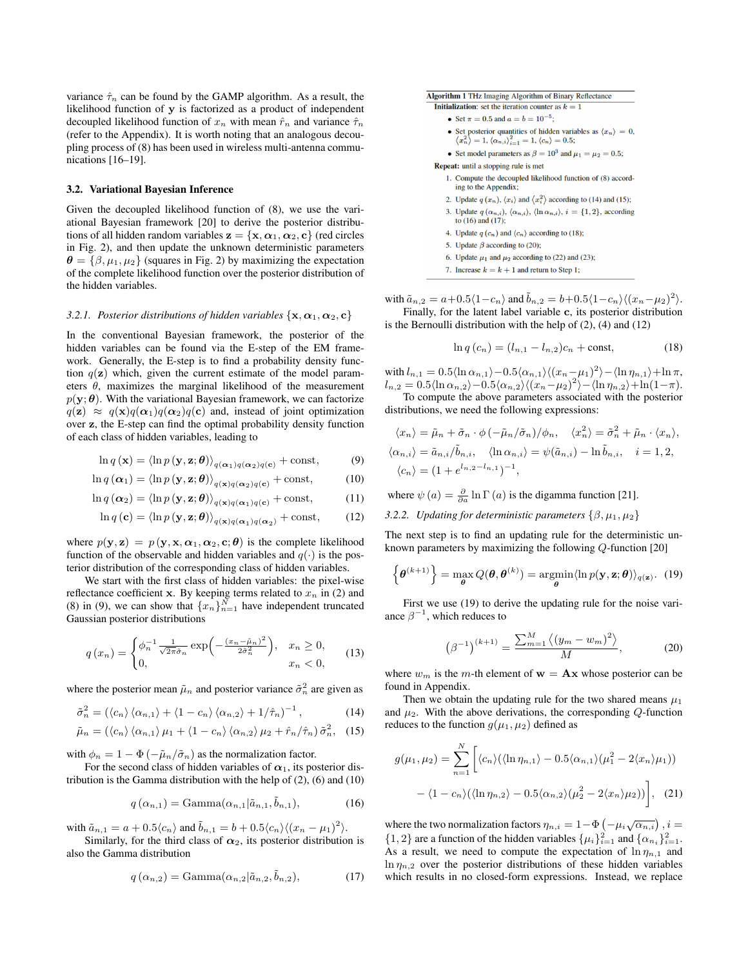variance  $\hat{\tau}_n$  can be found by the GAMP algorithm. As a result, the likelihood function of y is factorized as a product of independent decoupled likelihood function of  $x_n$  with mean  $\hat{r}_n$  and variance  $\hat{\tau}_n$ (refer to the Appendix). It is worth noting that an analogous decoupling process of (8) has been used in wireless multi-antenna communications [16–19].

#### 3.2. Variational Bayesian Inference

Given the decoupled likelihood function of (8), we use the variational Bayesian framework [20] to derive the posterior distributions of all hidden random variables  $z = \{x, \alpha_1, \alpha_2, c\}$  (red circles in Fig. 2), and then update the unknown deterministic parameters  $\theta = {\beta, \mu_1, \mu_2}$  (squares in Fig. 2) by maximizing the expectation of the complete likelihood function over the posterior distribution of the hidden variables.

#### *3.2.1. Posterior distributions of hidden variables*  $\{x, \alpha_1, \alpha_2, c\}$

In the conventional Bayesian framework, the posterior of the hidden variables can be found via the E-step of the EM framework. Generally, the E-step is to find a probability density function  $q(\mathbf{z})$  which, given the current estimate of the model parameters  $\theta$ , maximizes the marginal likelihood of the measurement  $p(\mathbf{y}; \boldsymbol{\theta})$ . With the variational Bayesian framework, we can factorize  $q(\mathbf{z}) \approx q(\mathbf{x})q(\alpha_1)q(\alpha_2)q(c)$  and, instead of joint optimization over z, the E-step can find the optimal probability density function of each class of hidden variables, leading to

$$
\ln q(\mathbf{x}) = \langle \ln p(\mathbf{y}, \mathbf{z}; \boldsymbol{\theta}) \rangle_{q(\mathbf{\alpha}_1)q(\mathbf{\alpha}_2)q(\mathbf{c})} + \text{const},
$$
 (9)

$$
\ln q\left(\boldsymbol{\alpha}_1\right) = \left\langle \ln p\left(\mathbf{y}, \mathbf{z}; \boldsymbol{\theta}\right) \right\rangle_{q\left(\mathbf{x}\right)q\left(\boldsymbol{\alpha}_2\right)q\left(\mathbf{c}\right)} + \text{const},\tag{10}
$$

$$
\ln q\left(\alpha_2\right) = \left\langle \ln p\left(\mathbf{y}, \mathbf{z}; \boldsymbol{\theta}\right) \right\rangle_{q\left(\mathbf{x}\right)q\left(\alpha_1\right)q\left(\mathbf{c}\right)} + \text{const},\tag{11}
$$

$$
\ln q\left(\mathbf{c}\right) = \left\langle \ln p\left(\mathbf{y}, \mathbf{z}; \boldsymbol{\theta}\right) \right\rangle_{q\left(\mathbf{x}\right)q\left(\alpha_{1}\right)q\left(\alpha_{2}\right)} + \text{const},\qquad(12)
$$

where  $p(\mathbf{y}, \mathbf{z}) = p(\mathbf{y}, \mathbf{x}, \alpha_1, \alpha_2, \mathbf{c}; \boldsymbol{\theta})$  is the complete likelihood function of the observable and hidden variables and  $q(\cdot)$  is the posterior distribution of the corresponding class of hidden variables.

We start with the first class of hidden variables: the pixel-wise reflectance coefficient x. By keeping terms related to  $x_n$  in (2) and (8) in (9), we can show that  $\{x_n\}_{n=1}^N$  have independent truncated Gaussian posterior distributions

$$
q\left(x_n\right) = \begin{cases} \phi_n^{-1} \frac{1}{\sqrt{2\pi}\tilde{\sigma}_n} \exp\left(-\frac{\left(x_n - \tilde{\mu}_n\right)^2}{2\tilde{\sigma}_n^2}\right), & x_n \ge 0, \\ 0, & x_n < 0, \end{cases}
$$
(13)

where the posterior mean  $\tilde{\mu}_n$  and posterior variance  $\tilde{\sigma}_n^2$  are given as

$$
\tilde{\sigma}_n^2 = (\langle c_n \rangle \langle \alpha_{n,1} \rangle + \langle 1 - c_n \rangle \langle \alpha_{n,2} \rangle + 1/\hat{\tau}_n)^{-1}, \qquad (14)
$$

$$
\tilde{\mu}_n = (\langle c_n \rangle \langle \alpha_{n,1} \rangle \mu_1 + \langle 1 - c_n \rangle \langle \alpha_{n,2} \rangle \mu_2 + \hat{r}_n / \hat{\tau}_n) \tilde{\sigma}_n^2, \quad (15)
$$

with  $\phi_n = 1 - \Phi(-\tilde{\mu}_n/\tilde{\sigma}_n)$  as the normalization factor.

For the second class of hidden variables of  $\alpha_1$ , its posterior distribution is the Gamma distribution with the help of (2), (6) and (10)

$$
q\left(\alpha_{n,1}\right) = \text{Gamma}(\alpha_{n,1}|\tilde{a}_{n,1}, \tilde{b}_{n,1}),\tag{16}
$$

with  $\tilde{a}_{n,1} = a + 0.5 \langle c_n \rangle$  and  $\tilde{b}_{n,1} = b + 0.5 \langle c_n \rangle \langle (x_n - \mu_1)^2 \rangle$ .

Similarly, for the third class of  $\alpha_2$ , its posterior distribution is also the Gamma distribution

$$
q\left(\alpha_{n,2}\right) = \text{Gamma}(\alpha_{n,2}|\tilde{a}_{n,2},\tilde{b}_{n,2}),\tag{17}
$$



- Set  $\pi = 0.5$  and  $a = b = 10^{-5}$ ;
- 
- Set posterior quantities of hidden variables as  $\langle x_n \rangle = 0$ ,  $\langle x_n^2 \rangle = 1, \langle \alpha_{n,i} \rangle_{i=1}^2 = 1, \langle c_n \rangle = 0.5;$
- Set model parameters as  $\beta = 10^3$  and  $\mu_1 = \mu_2 = 0.5$ ;

Repeat: until a stopping rule is met

- 1. Compute the decoupled likelihood function of (8) according to the Appendix;
- 2. Update  $q(x_n)$ ,  $\langle x_i \rangle$  and  $\langle x_i^2 \rangle$  according to (14) and (15);
- 3. Update  $q(\alpha_{n,i}), \langle \alpha_{n,i} \rangle$ ,  $\langle \ln \alpha_{n,i} \rangle$ ,  $i = \{1, 2\}$ , according to  $(16)$  and  $(17)$ ;
- 4. Update  $q(c_n)$  and  $\langle c_n \rangle$  according to (18);
- 5. Update  $\beta$  according to (20);
- 6. Update  $\mu_1$  and  $\mu_2$  according to (22) and (23);
- 7. Increase  $k = k + 1$  and return to Step 1;

with  $\tilde{a}_{n,2} = a + 0.5\langle 1-c_n \rangle$  and  $\tilde{b}_{n,2} = b + 0.5\langle 1-c_n \rangle \langle (x_n - \mu_2)^2 \rangle$ .

Finally, for the latent label variable c, its posterior distribution is the Bernoulli distribution with the help of (2), (4) and (12)

$$
\ln q(c_n) = (l_{n,1} - l_{n,2})c_n + \text{const},
$$
\n(18)

with  $l_{n,1} = 0.5 \langle \ln \alpha_{n,1} \rangle - 0.5 \langle \alpha_{n,1} \rangle \langle (x_n - \mu_1)^2 \rangle - \langle \ln \eta_{n,1} \rangle + \ln \pi$ ,  $l_{n,2} = 0.5 \langle \ln \alpha_{n,2} \rangle - 0.5 \langle \alpha_{n,2} \rangle \langle (x_n - \mu_2)^2 \rangle - \langle \ln \eta_{n,2} \rangle + \ln(1 - \pi).$ 

To compute the above parameters associated with the posterior distributions, we need the following expressions:

$$
\langle x_n \rangle = \tilde{\mu}_n + \tilde{\sigma}_n \cdot \phi \left( -\tilde{\mu}_n / \tilde{\sigma}_n \right) / \phi_n, \quad \langle x_n^2 \rangle = \tilde{\sigma}_n^2 + \tilde{\mu}_n \cdot \langle x_n \rangle,
$$
  

$$
\langle \alpha_{n,i} \rangle = \tilde{a}_{n,i} / \tilde{b}_{n,i}, \quad \langle \ln \alpha_{n,i} \rangle = \psi(\tilde{a}_{n,i}) - \ln \tilde{b}_{n,i}, \quad i = 1, 2,
$$
  

$$
\langle c_n \rangle = (1 + e^{l_{n,2} - l_{n,1}})^{-1},
$$

where  $\psi(a) = \frac{\partial}{\partial a} \ln \Gamma(a)$  is the digamma function [21].

*3.2.2. Updating for deterministic parameters*  $\{\beta, \mu_1, \mu_2\}$ 

The next step is to find an updating rule for the deterministic unknown parameters by maximizing the following Q-function [20]

$$
\left\{ \boldsymbol{\theta}^{(k+1)} \right\} = \max_{\boldsymbol{\theta}} Q(\boldsymbol{\theta}, \boldsymbol{\theta}^{(k)}) = \operatorname*{argmin}_{\boldsymbol{\theta}} \langle \ln p(\mathbf{y}, \mathbf{z}; \boldsymbol{\theta}) \rangle_{q(\mathbf{z})}. \tag{19}
$$

First we use (19) to derive the updating rule for the noise variance  $\beta^{-1}$ , which reduces to

$$
\left(\beta^{-1}\right)^{(k+1)} = \frac{\sum_{m=1}^{M} \left\langle (y_m - w_m)^2 \right\rangle}{M},\tag{20}
$$

where  $w_m$  is the m-th element of  $w = Ax$  whose posterior can be found in Appendix.

Then we obtain the updating rule for the two shared means  $\mu_1$ and  $\mu_2$ . With the above derivations, the corresponding Q-function reduces to the function  $g(\mu_1, \mu_2)$  defined as

$$
g(\mu_1, \mu_2) = \sum_{n=1}^{N} \left[ \langle c_n \rangle (\langle \ln \eta_{n,1} \rangle - 0.5 \langle \alpha_{n,1} \rangle (\mu_1^2 - 2 \langle x_n \rangle \mu_1)) - \langle 1 - c_n \rangle (\langle \ln \eta_{n,2} \rangle - 0.5 \langle \alpha_{n,2} \rangle (\mu_2^2 - 2 \langle x_n \rangle \mu_2)) \right], \quad (21)
$$

where the two normalization factors  $\eta_{n,i} = 1 - \Phi\left(-\mu_i \sqrt{\alpha_{n,i}}\right), i =$  $\{1, 2\}$  are a function of the hidden variables  $\{\mu_i\}_{i=1}^2$  and  $\{\alpha_{n_i}\}_{i=1}^2$ . As a result, we need to compute the expectation of  $\ln \eta_{n,1}$  and  $\ln \eta_{n,2}$  over the posterior distributions of these hidden variables which results in no closed-form expressions. Instead, we replace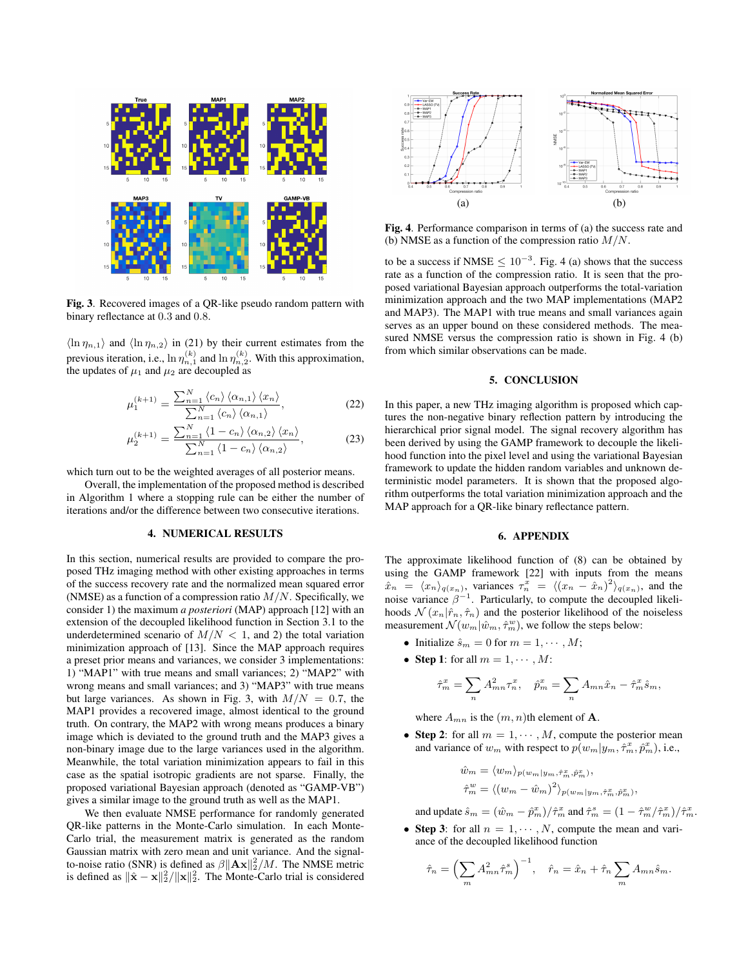

Fig. 3. Recovered images of a QR-like pseudo random pattern with binary reflectance at 0.3 and 0.8.

 $\langle \ln \eta_{n,1} \rangle$  and  $\langle \ln \eta_{n,2} \rangle$  in (21) by their current estimates from the previous iteration, i.e.,  $\ln \eta_{n,1}^{(k)}$  and  $\ln \eta_{n,2}^{(k)}$ . With this approximation, the updates of  $\mu_1$  and  $\mu_2$  are decoupled as

$$
\mu_1^{(k+1)} = \frac{\sum_{n=1}^{N} \langle c_n \rangle \langle \alpha_{n,1} \rangle \langle x_n \rangle}{\sum_{n=1}^{N} \langle c_n \rangle \langle \alpha_{n,1} \rangle},
$$
\n(22)

$$
\mu_2^{(k+1)} = \frac{\sum_{n=1}^{N} \left\langle 1 - c_n \right\rangle \left\langle \alpha_{n,2} \right\rangle \left\langle x_n \right\rangle}{\sum_{n=1}^{N} \left\langle 1 - c_n \right\rangle \left\langle \alpha_{n,2} \right\rangle},\tag{23}
$$

which turn out to be the weighted averages of all posterior means.

Overall, the implementation of the proposed method is described in Algorithm 1 where a stopping rule can be either the number of iterations and/or the difference between two consecutive iterations.

#### 4. NUMERICAL RESULTS

In this section, numerical results are provided to compare the proposed THz imaging method with other existing approaches in terms of the success recovery rate and the normalized mean squared error (NMSE) as a function of a compression ratio  $M/N$ . Specifically, we consider 1) the maximum *a posteriori* (MAP) approach [12] with an extension of the decoupled likelihood function in Section 3.1 to the underdetermined scenario of  $M/N < 1$ , and 2) the total variation minimization approach of [13]. Since the MAP approach requires a preset prior means and variances, we consider 3 implementations: 1) "MAP1" with true means and small variances; 2) "MAP2" with wrong means and small variances; and 3) "MAP3" with true means but large variances. As shown in Fig. 3, with  $M/N = 0.7$ , the MAP1 provides a recovered image, almost identical to the ground truth. On contrary, the MAP2 with wrong means produces a binary image which is deviated to the ground truth and the MAP3 gives a non-binary image due to the large variances used in the algorithm. Meanwhile, the total variation minimization appears to fail in this case as the spatial isotropic gradients are not sparse. Finally, the proposed variational Bayesian approach (denoted as "GAMP-VB") gives a similar image to the ground truth as well as the MAP1.

We then evaluate NMSE performance for randomly generated QR-like patterns in the Monte-Carlo simulation. In each Monte-Carlo trial, the measurement matrix is generated as the random Gaussian matrix with zero mean and unit variance. And the signalto-noise ratio (SNR) is defined as  $\beta \|\mathbf{A} \mathbf{x}\|_2^2 / M$ . The NMSE metric is defined as  $\|\hat{\mathbf{x}} - \mathbf{x}\|_2^2 / \|\mathbf{x}\|_2^2$ . The Monte-Carlo trial is considered



Fig. 4. Performance comparison in terms of (a) the success rate and (b) NMSE as a function of the compression ratio  $M/N$ .

to be a success if NMSE  $\leq 10^{-3}$ . Fig. 4 (a) shows that the success rate as a function of the compression ratio. It is seen that the proposed variational Bayesian approach outperforms the total-variation minimization approach and the two MAP implementations (MAP2 and MAP3). The MAP1 with true means and small variances again serves as an upper bound on these considered methods. The measured NMSE versus the compression ratio is shown in Fig. 4 (b) from which similar observations can be made.

### 5. CONCLUSION

In this paper, a new THz imaging algorithm is proposed which captures the non-negative binary reflection pattern by introducing the hierarchical prior signal model. The signal recovery algorithm has been derived by using the GAMP framework to decouple the likelihood function into the pixel level and using the variational Bayesian framework to update the hidden random variables and unknown deterministic model parameters. It is shown that the proposed algorithm outperforms the total variation minimization approach and the MAP approach for a QR-like binary reflectance pattern.

#### 6. APPENDIX

The approximate likelihood function of (8) can be obtained by using the GAMP framework [22] with inputs from the means  $\hat{x}_n = \langle x_n \rangle_{q(x_n)}$ , variances  $\tau_n^x = \langle (x_n - \hat{x}_n)^2 \rangle_{q(x_n)}$ , and the noise variance  $\beta^{-1}$ . Particularly, to compute the decoupled likelihoods  $\mathcal{N}(x_n|\hat{r}_n, \hat{\tau}_n)$  and the posterior likelihood of the noiseless measurement  $\mathcal{N}(w_m|\hat{w}_m, \hat{\tau}_m^w)$ , we follow the steps below:

- Initialize  $\hat{s}_m = 0$  for  $m = 1, \dots, M$ ;
- Step 1: for all  $m = 1, \dots, M$ :

$$
\hat{\tau}_m^x = \sum_n A_{mn}^2 \tau_n^x, \quad \hat{p}_m^x = \sum_n A_{mn} \hat{x}_n - \hat{\tau}_m^x \hat{s}_m,
$$

where  $A_{mn}$  is the  $(m, n)$ th element of **A**.

• Step 2: for all  $m = 1, \dots, M$ , compute the posterior mean and variance of  $w_m$  with respect to  $p(w_m|y_m, \hat{\tau}_m^x, \hat{p}_m^x)$ , i.e.,

$$
\hat{w}_m = \langle w_m \rangle_{p(w_m|y_m, \hat{\tau}_m^x, \hat{\rho}_m^x)},
$$
  

$$
\hat{\tau}_m^w = \langle (w_m - \hat{w}_m)^2 \rangle_{p(w_m|y_m, \hat{\tau}_m^x, \hat{\rho}_m^x)},
$$

and update  $\hat{s}_m = (\hat{w}_m - \hat{p}_m^x)/\hat{\tau}_m^x$  and  $\hat{\tau}_m^s = (1 - \hat{\tau}_m^w/\hat{\tau}_m^x)/\hat{\tau}_m^x$ .

• Step 3: for all  $n = 1, \dots, N$ , compute the mean and variance of the decoupled likelihood function

$$
\hat{\tau}_n = \left(\sum_m A_{mn}^2 \hat{\tau}_m^s\right)^{-1}, \quad \hat{r}_n = \hat{x}_n + \hat{\tau}_n \sum_m A_{mn} \hat{s}_m.
$$